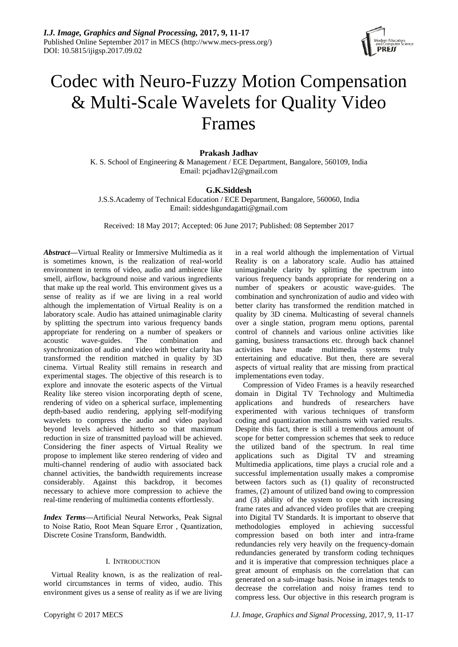

# Codec with Neuro-Fuzzy Motion Compensation & Multi-Scale Wavelets for Quality Video Frames

# **Prakash Jadhav**

K. S. School of Engineering & Management / ECE Department, Bangalore, 560109, India Email: pcjadhav12@gmail.com

# **G.K.Siddesh**

J.S.S.Academy of Technical Education / ECE Department, Bangalore, 560060, India Email: siddeshgundagatti@gmail.com

Received: 18 May 2017; Accepted: 06 June 2017; Published: 08 September 2017

*Abstract***—**Virtual Reality or Immersive Multimedia as it is sometimes known, is the realization of real-world environment in terms of video, audio and ambience like smell, airflow, background noise and various ingredients that make up the real world. This environment gives us a sense of reality as if we are living in a real world although the implementation of Virtual Reality is on a laboratory scale. Audio has attained unimaginable clarity by splitting the spectrum into various frequency bands appropriate for rendering on a number of speakers or acoustic wave-guides. The combination and synchronization of audio and video with better clarity has transformed the rendition matched in quality by 3D cinema. Virtual Reality still remains in research and experimental stages. The objective of this research is to explore and innovate the esoteric aspects of the Virtual Reality like stereo vision incorporating depth of scene, rendering of video on a spherical surface, implementing depth-based audio rendering, applying self-modifying wavelets to compress the audio and video payload beyond levels achieved hitherto so that maximum reduction in size of transmitted payload will be achieved. Considering the finer aspects of Virtual Reality we propose to implement like stereo rendering of video and multi-channel rendering of audio with associated back channel activities, the bandwidth requirements increase considerably. Against this backdrop, it becomes necessary to achieve more compression to achieve the real-time rendering of multimedia contents effortlessly.

*Index Terms***—**Artificial Neural Networks, Peak Signal to Noise Ratio, Root Mean Square Error , Quantization, Discrete Cosine Transform, Bandwidth.

# I. INTRODUCTION

Virtual Reality known, is as the realization of realworld circumstances in terms of video, audio. This environment gives us a sense of reality as if we are living in a real world although the implementation of Virtual Reality is on a laboratory scale. Audio has attained unimaginable clarity by splitting the spectrum into various frequency bands appropriate for rendering on a number of speakers or acoustic wave-guides. The combination and synchronization of audio and video with better clarity has transformed the rendition matched in quality by 3D cinema. Multicasting of several channels over a single station, program menu options, parental control of channels and various online activities like gaming, business transactions etc. through back channel activities have made multimedia systems truly entertaining and educative. But then, there are several aspects of virtual reality that are missing from practical implementations even today.

Compression of Video Frames is a heavily researched domain in Digital TV Technology and Multimedia applications and hundreds of researchers have experimented with various techniques of transform coding and quantization mechanisms with varied results. Despite this fact, there is still a tremendous amount of scope for better compression schemes that seek to reduce the utilized band of the spectrum. In real time applications such as Digital TV and streaming Multimedia applications, time plays a crucial role and a successful implementation usually makes a compromise between factors such as (1) quality of reconstructed frames, (2) amount of utilized band owing to compression and (3) ability of the system to cope with increasing frame rates and advanced video profiles that are creeping into Digital TV Standards. It is important to observe that methodologies employed in achieving successful compression based on both inter and intra-frame redundancies rely very heavily on the frequency-domain redundancies generated by transform coding techniques and it is imperative that compression techniques place a great amount of emphasis on the correlation that can generated on a sub-image basis. Noise in images tends to decrease the correlation and noisy frames tend to compress less. Our objective in this research program is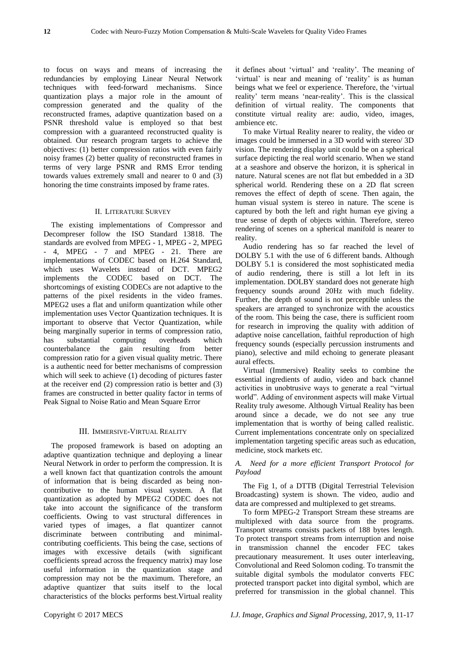to focus on ways and means of increasing the redundancies by employing Linear Neural Network techniques with feed-forward mechanisms. Since quantization plays a major role in the amount of compression generated and the quality of the reconstructed frames, adaptive quantization based on a PSNR threshold value is employed so that best compression with a guaranteed reconstructed quality is obtained. Our research program targets to achieve the objectives: (1) better compression ratios with even fairly noisy frames (2) better quality of reconstructed frames in terms of very large PSNR and RMS Error tending towards values extremely small and nearer to 0 and (3) honoring the time constraints imposed by frame rates.

### II. LITERATURE SURVEY

The existing implementations of Compressor and Decompreser follow the ISO Standard 13818. The standards are evolved from MPEG - 1, MPEG - 2, MPEG - 4, MPEG - 7 and MPEG - 21. There are implementations of CODEC based on H.264 Standard, which uses Wavelets instead of DCT. MPEG2 implements the CODEC based on DCT. The shortcomings of existing CODECs are not adaptive to the patterns of the pixel residents in the video frames. MPEG2 uses a flat and uniform quantization while other implementation uses Vector Quantization techniques. It is important to observe that Vector Quantization, while being marginally superior in terms of compression ratio, has substantial computing overheads which counterbalance the gain resulting from better compression ratio for a given visual quality metric. There is a authentic need for better mechanisms of compression which will seek to achieve (1) decoding of pictures faster at the receiver end (2) compression ratio is better and (3) frames are constructed in better quality factor in terms of Peak Signal to Noise Ratio and Mean Square Error

## III. IMMERSIVE-VIRTUAL REALITY

The proposed framework is based on adopting an adaptive quantization technique and deploying a linear Neural Network in order to perform the compression. It is a well known fact that quantization controls the amount of information that is being discarded as being noncontributive to the human visual system. A flat quantization as adopted by MPEG2 CODEC does not take into account the significance of the transform coefficients. Owing to vast structural differences in varied types of images, a flat quantizer cannot discriminate between contributing and minimalcontributing coefficients. This being the case, sections of images with excessive details (with significant coefficients spread across the frequency matrix) may lose useful information in the quantization stage and compression may not be the maximum. Therefore, an adaptive quantizer that suits itself to the local characteristics of the blocks performs best.Virtual reality

it defines about 'virtual' and 'reality'. The meaning of 'virtual' is near and meaning of 'reality' is as human beings what we feel or experience. Therefore, the 'virtual reality' term means 'near-reality'. This is the classical definition of virtual reality. The components that constitute virtual reality are: audio, video, images, ambience etc.

To make Virtual Reality nearer to reality, the video or images could be immersed in a 3D world with stereo/ 3D vision. The rendering display unit could be on a spherical surface depicting the real world scenario. When we stand at a seashore and observe the horizon, it is spherical in nature. Natural scenes are not flat but embedded in a 3D spherical world. Rendering these on a 2D flat screen removes the effect of depth of scene. Then again, the human visual system is stereo in nature. The scene is captured by both the left and right human eye giving a true sense of depth of objects within. Therefore, stereo rendering of scenes on a spherical manifold is nearer to reality.

Audio rendering has so far reached the level of DOLBY 5.1 with the use of 6 different bands. Although DOLBY 5.1 is considered the most sophisticated media of audio rendering, there is still a lot left in its implementation. DOLBY standard does not generate high frequency sounds around 20Hz with much fidelity. Further, the depth of sound is not perceptible unless the speakers are arranged to synchronize with the acoustics of the room. This being the case, there is sufficient room for research in improving the quality with addition of adaptive noise cancellation, faithful reproduction of high frequency sounds (especially percussion instruments and piano), selective and mild echoing to generate pleasant aural effects.

Virtual (Immersive) Reality seeks to combine the essential ingredients of audio, video and back channel activities in unobtrusive ways to generate a real "virtual world". Adding of environment aspects will make Virtual Reality truly awesome. Although Virtual Reality has been around since a decade, we do not see any true implementation that is worthy of being called realistic. Current implementations concentrate only on specialized implementation targeting specific areas such as education, medicine, stock markets etc.

## *A. Need for a more efficient Transport Protocol for Payload*

The Fig 1, of a DTTB (Digital Terrestrial Television Broadcasting) system is shown. The video, audio and data are compressed and multiplexed to get streams.

To form MPEG-2 Transport Stream these streams are multiplexed with data source from the programs. Transport streams consists packets of 188 bytes length. To protect transport streams from interruption and noise in transmission channel the encoder FEC takes precautionary measurement. It uses outer interleaving, Convolutional and Reed Solomon coding. To transmit the suitable digital symbols the modulator converts FEC protected transport packet into digital symbol, which are preferred for transmission in the global channel. This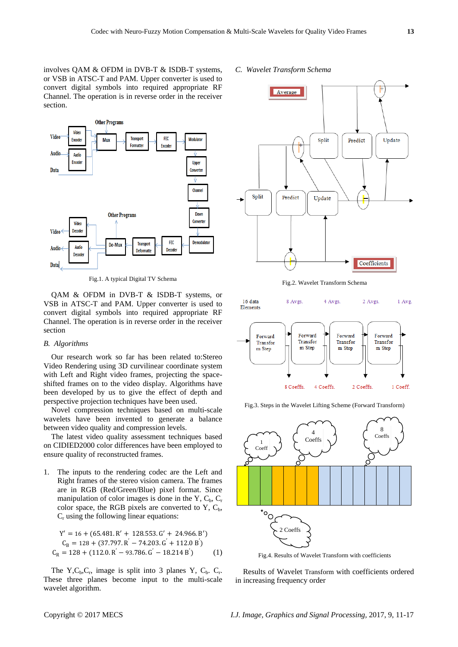involves QAM & OFDM in DVB-T & ISDB-T systems, or VSB in ATSC-T and PAM. Upper converter is used to convert digital symbols into required appropriate RF Channel. The operation is in reverse order in the receiver section.



Fig.1. A typical Digital TV Schema

QAM & OFDM in DVB-T & ISDB-T systems, or VSB in ATSC-T and PAM. Upper converter is used to convert digital symbols into required appropriate RF Channel. The operation is in reverse order in the receiver section

#### *B. Algorithms*

Our research work so far has been related to:Stereo Video Rendering using 3D curvilinear coordinate system with Left and Right video frames, projecting the spaceshifted frames on to the video display. Algorithms have been developed by us to give the effect of depth and perspective projection techniques have been used.

Novel compression techniques based on multi-scale wavelets have been invented to generate a balance between video quality and compression levels.

The latest video quality assessment techniques based on CIDIED2000 color differences have been employed to ensure quality of reconstructed frames.

1. The inputs to the rendering codec are the Left and Right frames of the stereo vision camera. The frames are in RGB (Red/Green/Blue) pixel format. Since manipulation of color images is done in the Y,  $C_b$ ,  $C_r$ color space, the RGB pixels are converted to  $Y$ ,  $C_b$ ,  $C<sub>r</sub>$  using the following linear equations:

$$
Y' = 16 + (65.481.R' + 128.553.G' + 24.966.B')
$$
  
\n
$$
C_B = 128 + (37.797.R' - 74.203.G' + 112.0 B')
$$
  
\n
$$
C_R = 128 + (112.0.R' - 93.786.G' - 18.214 B')
$$
 (1)

The Y,C<sub>b</sub>,C<sub>r</sub>, image is split into 3 planes Y, C<sub>b</sub>. C<sub>r</sub>. These three planes become input to the multi-scale wavelet algorithm.

## *C. Wavelet Transform Schema*



Fig.2. Wavelet Transform Schema







Fig.4. Results of Wavelet Transform with coefficients

Results of Wavelet Transform with coefficients ordered in increasing frequency order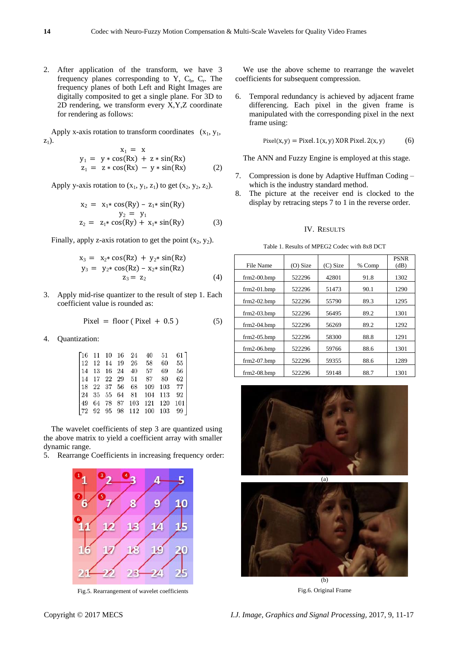2. After application of the transform, we have 3 frequency planes corresponding to Y,  $C_b$ ,  $C_r$ . The frequency planes of both Left and Right Images are digitally composited to get a single plane. For 3D to 2D rendering, we transform every X,Y,Z coordinate for rendering as follows:

Apply x-axis rotation to transform coordinates  $(x_1, y_1, ...)$  $z_1$ ).

$$
x_1 = x
$$
  
\n
$$
y_1 = y * cos(Rx) + z * sin(Rx)
$$
  
\n
$$
z_1 = z * cos(Rx) - y * sin(Rx)
$$
 (2)

Apply y-axis rotation to  $(x_1, y_1, z_1)$  to get  $(x_2, y_2, z_2)$ .

$$
x_2 = x_1 * cos(Ry) - z_1 * sin(Ry)
$$
  
\n
$$
y_2 = y_1
$$
  
\n
$$
z_2 = z_1 * cos(Ry) + x_1 * sin(Ry)
$$
 (3)

Finally, apply z-axis rotation to get the point  $(x_2, y_2)$ .

$$
x_3 = x_2 * cos(Rz) + y_2 * sin(Rz)
$$
  
\n
$$
y_3 = y_2 * cos(Rz) - x_2 * sin(Rz)
$$
  
\n
$$
z_3 = z_2
$$
 (4)

3. Apply mid-rise quantizer to the result of step 1. Each coefficient value is rounded as:

$$
Pixel = floor (Pixel + 0.5)
$$
 (5)

4. Quantization:

|  |  |  | $\begin{bmatrix} 16 & 11 & 10 & 16 & 24 & 40 & 51 & 61 \end{bmatrix}$   |  |
|--|--|--|-------------------------------------------------------------------------|--|
|  |  |  | $\begin{bmatrix} 12 & 12 & 14 & 19 & 26 & 58 & 60 & 55 \end{bmatrix}$   |  |
|  |  |  | $\begin{vmatrix} 14 & 13 & 16 & 24 & 40 & 57 & 69 & 56 \end{vmatrix}$   |  |
|  |  |  | $\begin{bmatrix} 14 & 17 & 22 & 29 & 51 & 87 & 80 & 62 \end{bmatrix}$   |  |
|  |  |  | 18 22 37 56 68 109 103 77                                               |  |
|  |  |  | $\begin{bmatrix} 24 & 35 & 55 & 64 & 81 & 104 & 113 & 92 \end{bmatrix}$ |  |
|  |  |  | 49 64 78 87 103 121 120 101                                             |  |
|  |  |  | 72 92 95 98 112 100 103 99                                              |  |

The wavelet coefficients of step 3 are quantized using the above matrix to yield a coefficient array with smaller dynamic range.

5. Rearrange Coefficients in increasing frequency order:



Fig.5. Rearrangement of wavelet coefficients

We use the above scheme to rearrange the wavelet coefficients for subsequent compression.

6. Temporal redundancy is achieved by adjacent frame differencing. Each pixel in the given frame is manipulated with the corresponding pixel in the next frame using:

$$
Pixel(x, y) = Pixel. 1(x, y) XOR Pixel. 2(x, y)
$$
 (6)

The ANN and Fuzzy Engine is employed at this stage.

- 7. Compression is done by Adaptive Huffman Coding which is the industry standard method.
- 8. The picture at the receiver end is clocked to the display by retracing steps 7 to 1 in the reverse order.

#### IV. RESULTS

| Table 1. Results of MPEG2 Codec with 8x8 DCT |  |
|----------------------------------------------|--|
|----------------------------------------------|--|

| 42801<br>522296<br>91.8<br>1302<br>$frm2-00.bmp$<br>51473<br>$frm2-01.bmp$<br>522296<br>90.1<br>1290<br>55790<br>$frm2-02.bmp$<br>522296<br>89.3<br>1295<br>522296<br>56495<br>89.2<br>1301<br>$frm2-03.bmp$<br>522296<br>56269<br>1292<br>$frm2-04.bmp$<br>89.2<br>522296<br>58300<br>88.8<br>$frm2-05.bmp$<br>1291 | File Name | (O) Size | (C) Size | % Comp | <b>PSNR</b><br>(dB) |
|----------------------------------------------------------------------------------------------------------------------------------------------------------------------------------------------------------------------------------------------------------------------------------------------------------------------|-----------|----------|----------|--------|---------------------|
|                                                                                                                                                                                                                                                                                                                      |           |          |          |        |                     |
|                                                                                                                                                                                                                                                                                                                      |           |          |          |        |                     |
|                                                                                                                                                                                                                                                                                                                      |           |          |          |        |                     |
|                                                                                                                                                                                                                                                                                                                      |           |          |          |        |                     |
|                                                                                                                                                                                                                                                                                                                      |           |          |          |        |                     |
|                                                                                                                                                                                                                                                                                                                      |           |          |          |        |                     |
| 522296<br>1301<br>$frm2-06.bmp$<br>59766<br>88.6                                                                                                                                                                                                                                                                     |           |          |          |        |                     |
| 522296<br>59355<br>88.6<br>1289<br>$frm2-07.bmp$                                                                                                                                                                                                                                                                     |           |          |          |        |                     |
| 522296<br>59148<br>88.7<br>1301<br>$frm2-08.bmp$                                                                                                                                                                                                                                                                     |           |          |          |        |                     |





Fig.6. Original Frame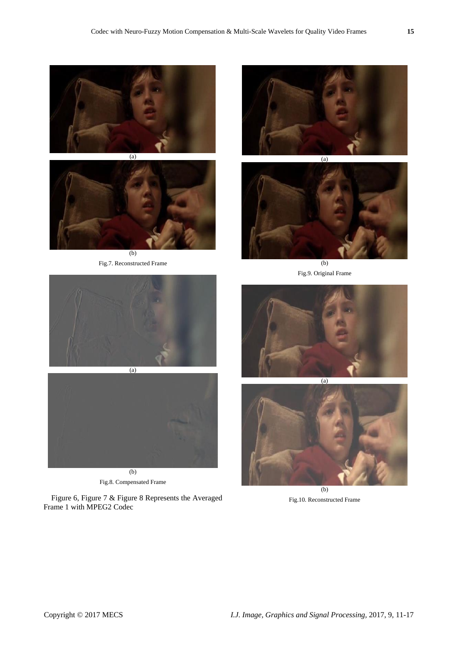



Fig.7. Reconstructed Frame





(b) Fig.9. Original Frame





Fig.8. Compensated Frame

Figure 6, Figure 7 & Figure 8 Represents the Averaged Frame 1 with MPEG2 Codec





 $\overline{(b)}$ Fig.10. Reconstructed Frame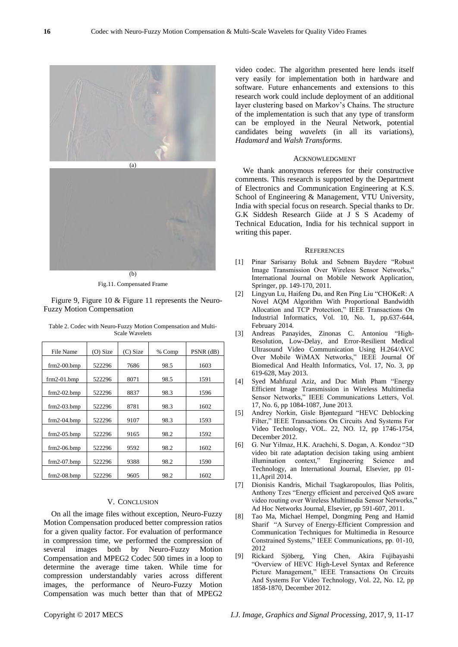



Fig.11. Compensated Frame

Figure 9, Figure 10 & Figure 11 represents the Neuro-Fuzzy Motion Compensation

| File Name     | (O) Size | (C) Size | % Comp | PSNR (dB) |
|---------------|----------|----------|--------|-----------|
| $frm2-00.bmp$ | 522296   | 7686     | 98.5   | 1603      |
| $frm2-01.bmp$ | 522296   | 8071     | 98.5   | 1591      |
| $frm2-02.bmp$ | 522296   | 8837     | 98.3   | 1596      |
| $frm2-03.bmp$ | 522296   | 8781     | 98.3   | 1602      |
| $frm2-04.bmp$ | 522296   | 9107     | 98.3   | 1593      |
| $frm2-05.bmp$ | 522296   | 9165     | 98.2   | 1592      |
| $frm2-06.bmp$ | 522296   | 9592     | 98.2   | 1602      |
| $frm2-07.bmp$ | 522296   | 9388     | 98.2   | 1590      |
| $frm2-08.bmp$ | 522296   | 9605     | 98.2   | 1602      |

Table 2. Codec with Neuro-Fuzzy Motion Compensation and Multi-Scale Wavelets

# V. CONCLUSION

On all the image files without exception, Neuro-Fuzzy Motion Compensation produced better compression ratios for a given quality factor. For evaluation of performance in compression time, we performed the compression of several images both by Neuro-Fuzzy Motion Compensation and MPEG2 Codec 500 times in a loop to determine the average time taken. While time for compression understandably varies across different images, the performance of Neuro-Fuzzy Motion Compensation was much better than that of MPEG2

video codec. The algorithm presented here lends itself very easily for implementation both in hardware and software. Future enhancements and extensions to this research work could include deployment of an additional layer clustering based on Markov's Chains. The structure of the implementation is such that any type of transform can be employed in the Neural Network, potential candidates being *wavelets* (in all its variations), *Hadamard* and *Walsh Transforms*.

#### ACKNOWLEDGMENT

We thank anonymous referees for their constructive comments. This research is supported by the Department of Electronics and Communication Engineering at K.S. School of Engineering & Management, VTU University, India with special focus on research. Special thanks to Dr. G.K Siddesh Research Giide at J S S Academy of Technical Education, India for his technical support in writing this paper.

#### **REFERENCES**

- [1] Pinar Sarisaray Boluk and Sebnem Baydere "Robust Image Transmission Over Wireless Sensor Networks," International Journal on Mobile Network Application, Springer, pp. 149-170, 2011.
- [2] Lingyun Lu, Haifeng Du, and Ren Ping Liu "CHOKeR: A Novel AQM Algorithm With Proportional Bandwidth Allocation and TCP Protection," IEEE Transactions On Industrial Informatics, Vol. 10, No. 1, pp.637-644, February 2014.
- [3] Andreas Panayides, Zinonas C. Antoniou "High-Resolution, Low-Delay, and Error-Resilient Medical Ultrasound Video Communication Using H.264/AVC Over Mobile WiMAX Networks," IEEE Journal Of Biomedical And Health Informatics, Vol. 17, No. 3, pp 619-628, May 2013.
- [4] Syed Mahfuzul Aziz, and Duc Minh Pham "Energy Efficient Image Transmission in Wireless Multimedia Sensor Networks," IEEE Communications Letters, Vol. 17, No. 6, pp 1084-1087, June 2013.
- [5] Andrey Norkin, Gisle Bjøntegaard "HEVC Deblocking Filter," IEEE Transactions On Circuits And Systems For Video Technology, VOL. 22, NO. 12, pp 1746-1754, December 2012.
- [6] G. Nur Yilmaz, H.K. Arachchi, S. Dogan, A. Kondoz "3D video bit rate adaptation decision taking using ambient illumination context," Engineering Science and Technology, an International Journal, Elsevier, pp 01- 11,April 2014.
- [7] Dionisis Kandris, Michail Tsagkaropoulos, Ilias Politis, Anthony Tzes "Energy efficient and perceived QoS aware video routing over Wireless Multimedia Sensor Networks," Ad Hoc Networks Journal, Elsevier, pp 591-607, 2011.
- [8] Tao Ma, Michael Hempel, Dongming Peng and Hamid Sharif "A Survey of Energy-Efficient Compression and Communication Techniques for Multimedia in Resource Constrained Systems," IEEE Communications, pp. 01-10, 2012
- [9] Rickard Sjöberg, Ying Chen, Akira Fujibayashi "Overview of HEVC High-Level Syntax and Reference Picture Management," IEEE Transactions On Circuits And Systems For Video Technology, Vol. 22, No. 12, pp 1858-1870, December 2012.